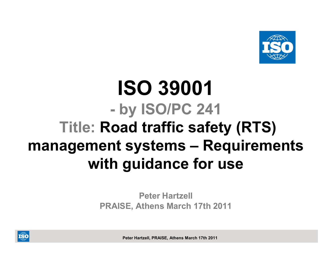

## **ISO 39001 by ISO/PC 241 Title: Road traffic safety (RTS) management systems – Requirements with guidance for use**

**Peter HartzellPRAISE, Athens March 17th 2011**

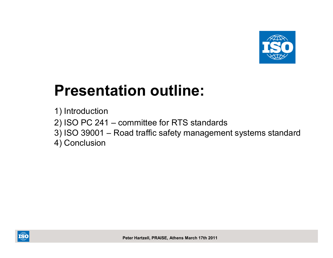

# **Presentation outline:**

1) Introduction

- 2) ISO PC 241 committee for RTS standards
- 3) ISO 39001 –Road traffic safety management systems standard

4) Conclusion

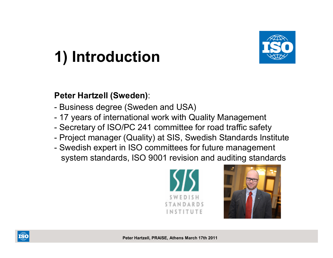

# **1) Introduction**

#### **Peter Hartzell (Sweden)**:

- -Business degree (Sweden and USA)
- -17 years of international work with Quality Management
- -Secretary of ISO/PC 241 committee for road traffic safety
- Project manager (Quality) at SIS. Swedish Standards In: Project manager (Quality) at SIS, Swedish Standards Institute<br>Cuadish synert in ISO committees for future management
- -Swedish expert in ISO committees for future management system standards, ISO 9001 revision and auditing standards





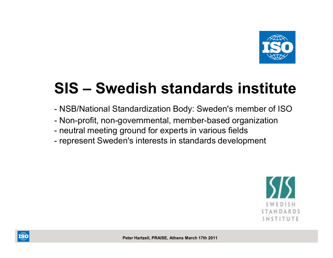

# **SIS – Swedish standards institute**

- -NSB/National Standardization Body: Sweden's member of ISO
- -Non-profit, non-governmental, member-based organization<br>results measured for events in verious fields.
- neutral meeting ground for experts in various fields
- represent Sweden's interests in standards develor represent Sweden's interests in standards development



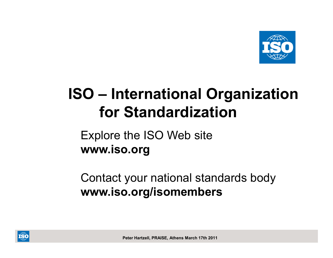

# **ISO – International Organization for Standardization**

Explore the ISO Web site**www.iso.org**

Contact your national standards body**www.iso.org/isomembers**

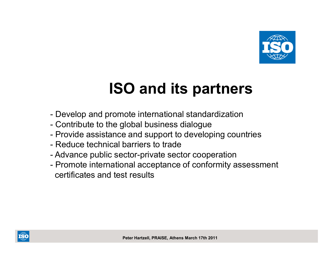

# **ISO and its partners**

- -Develop and promote international standardization<br>Contribute to the alghel business dialogue
- -Contribute to the global business dialogue
- Provide assistance and sunnort to develo Provide assistance and support to developing countries
- -Reduce technical barriers to trade
- -Advance public sector-private sector cooperation
- -Promote international acceptance of conformity assessment certificates and test results

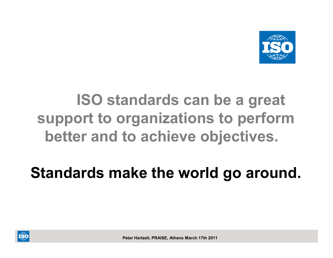

# **ISO standards can be a great support to organizations to perform better and to achieve objectives.**

# **Standards make the world go around.**

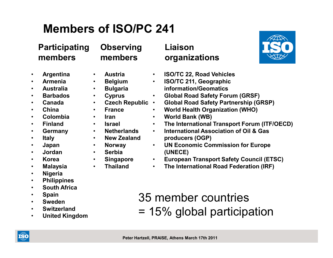## **Members of ISO/PC 241**

#### **Participating members**

- $\bullet$ **Argentina**
- **Armenia**•
- **Australia** $\bullet$
- **Barbados** $\bullet$
- **Canada** $\bullet$
- **China**  •
- •**Colombia**
- •**Finland**
- **Germany** $\bullet$
- •**Italy**
- $\bullet$ **Japan**
- **Jordan**•
- **Korea**  •
- $\bullet$ **Malaysia**
- $\bullet$ **Nigeria**
- **Philippines**   $\bullet$
- $\bullet$ **South Africa**
- $\bullet$ **Spain**
- •**Sweden**
- **Switzerland**•
- **United Kingdom**•
- **Observingmembers**
- **Austria**
- **Belgium**•
- **Bulgaria**•
- **Cyprus**•
- **Czech Republic**••
- •**France**
- •**Iran**

 $\bullet$ 

- **Israel** •
- **Netherlands**•
- **New Zealand**•**Norway**
- **Serbia**•
- •

•

 **SingaporeThailand**

- **Liaison organizations**
- $\bullet$ **ISO/TC 22, Road Vehicles**
- • **ISO/TC 211, Geographic information/Geomatics**
- **Global Road Safety Forum (GRSF)** •
- **Global Road Safety Partnership (GRSP)**
- $\bullet$ **World Health Organization (WHO)**
- •**World Bank (WB)**
- •**The International Transport Forum (ITF/OECD)**
- • **International Association of Oil & Gas producers (OGP)**
- **UN Economic Commission for Europe**  •**(UNECE)**
- **European Transport Safety Council (ETSC)** •
- $\bullet$ **The International Road Federation (IRF)**
- 35 member countries= 15% global participation





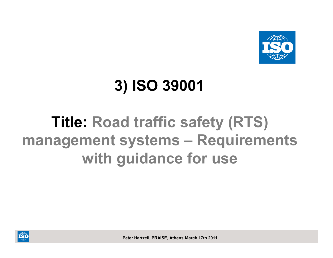

# **3) ISO 39001**

# **Title: Road traffic safety (RTS) management systems – Requirements with guidance for use**

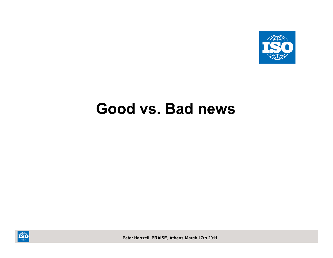

## **Good vs. Bad news**

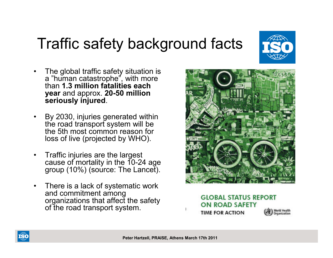# Traffic safety background facts



- • By 2030, injuries generated within the road transport system will be the 5th most common reason for loss of live (projected by WHO).
- • Traffic injuries are the largest cause of mortality in the 10-24 age group (10%) (source: The Lancet).
- • There is a lack of systematic work and commitment among<br>organizations that affect the safety of the road transport system.



**GLOBAL STATUS REPORT ON ROAD SAFETY** World Health **TIME FOR ACTION** 



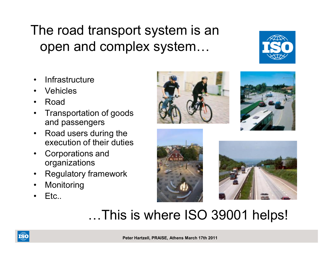## The road transport system is an open and complex system…

- •**Infrastructure**
- •Vehicles
- •Road
- • Transportation of goods and passengers
- Road users during the •execution of their duties
- • Corporations and organizations
- Regulatory framework •
- •Monitoring
- •Etc..









# …This is where ISO 39001 helps!

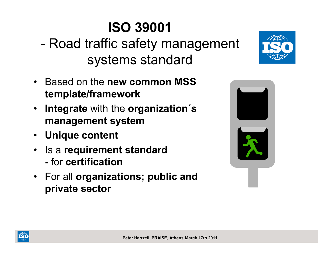# **ISO 39001**

- -Road traffic safety management systems standard
- Based on the **new common MSS template/framework**
- • **Integrate** with the **organization´s management system**
- **Unique content**
- Is a **requirement standard** for **certification**
- For all **organizations; public and private sector**





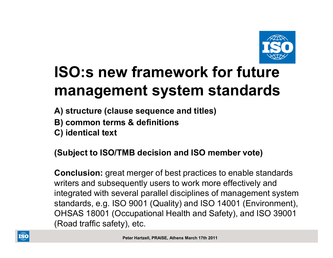

# **ISO:s new framework for future management system standards**

**A) structure (clause sequence and titles)**

- **B) common terms & definitions**
- **C) identical text**

#### **(Subject to ISO/TMB decision and ISO member vote)**

**Conclusion:** great merger of best practices to enable standards writers and subsequently users to work more effectively and integrated with several parallel disciplines of management system standards, e.g. ISO 9001 (Quality) and ISO 14001 (Environment),OHSAS 18001 (Occupational Health and Safety), and ISO 39001(Road traffic safety), etc.

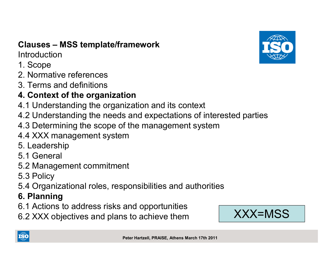#### **Clauses – MSS template/framework**

**Introduction** 

- 1. Scope
- 2. Normative references
- 3. Terms and definitions

#### **4. Context of the organization**

- 4.1 Understanding the organization and its context
- 4.2 Understanding the needs and expectations of interested parties
- 4.3 Determining the scope of the management system
- 4.4 XXX management system
- 5. Leadership
- 5.1 General
- 5.2 Management commitment
- 5.3 Policy
- 5.4 Organizational roles, responsibilities and authorities

#### **6. Planning**

- 6.1 Actions to address risks and opportunities
- 6.2 XXX objectives and plans to achieve them





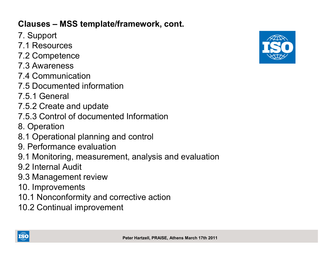#### **Clauses – MSS template/framework, cont.**

- 7. Support
- 7.1 Resources
- 7.2 Competence
- 7.3 Awareness
- 7.4 Communication
- 7.5 Documented information
- 7.5.1 General
- 7.5.2 Create and update
- 7.5.3 Control of documented Information
- 8. Operation
- 8.1 Operational planning and control
- 9. Performance evaluation
- 9.1 Monitoring, measurement, analysis and evaluation
- 9.2 Internal Audit
- 9.3 Management review
- 10. Improvements
- 10.1 Nonconformity and corrective action
- 10.2 Continual improvement



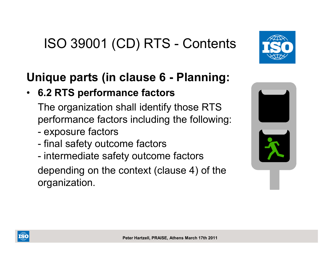### **Unique parts (in clause 6 - Planning:**

#### •**6.2 RTS performance factors**

The organization shall identify those RTS performance factors including the following:

- -- exposure factors
- final safety outcome factors
- intermediate safety outcome factors

depending on the context (clause 4) of the organization.





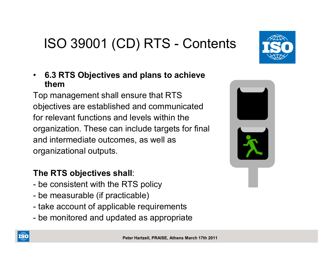#### $\bullet$  **6.3 RTS Objectives and plans to achieve them**

 Top management shall ensure that RTS objectives are established and communicatedfor relevant functions and levels within the organization. These can include targets for finaland intermediate outcomes, as well asorganizational outputs.

#### **The RTS objectives shall**:

- be consistent with the RTS policy
- be measurable (if practicable)
- take account of applicable requirements
- be monitored and updated as appropriate



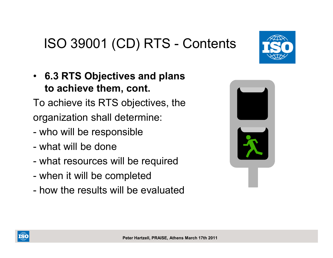• **6.3 RTS Objectives and plans to achieve them, cont.**

To achieve its RTS objectives, theorganization shall determine:

- -- who will be responsible
- what will be done
- what resources will be required
- when it will be completed
- how the results will be evaluated





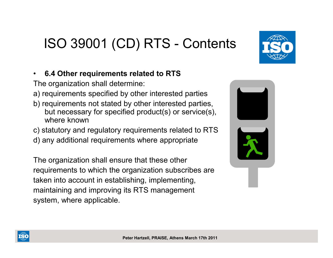•**6.4 Other requirements related to RTS**

The organization shall determine:

- a) requirements specified by other interested parties
- b) requirements not stated by other interested parties, but necessary for specified product(s) or service(s), where known
- c) statutory and regulatory requirements related to RTS
- d) any additional requirements where appropriate

The organization shall ensure that these otherrequirements to which the organization subscribes aretaken into account in establishing, implementing,maintaining and improving its RTS managementsystem, where applicable.







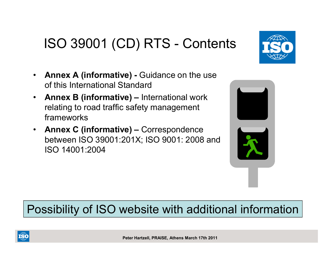- $\bullet$  **Annex A (informative) -** Guidance on the use of this International Standard
- $\bullet$  **Annex B (informative) –** International work relating to road traffic safety management frameworks
- • **Annex C (informative)**  – Correspondence between ISO 39001:201X; ISO 9001: 2008 and ISO 14001:2004

#### Possibility of ISO website with additional information





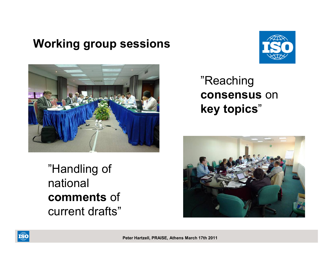#### **Working group sessions**





## "Reaching **consensus** on **key topics**"

"Handling of national **comments** of current drafts"



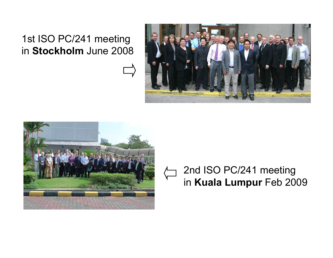## 1st ISO PC/241 meetingin **Stockholm** June 2008





#### 2nd ISO PC/241 meeting in **Kuala Lumpur** Feb 2009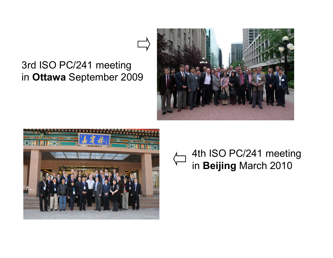#### 3rd ISO PC/241 meeting in **Ottawa** September 2009





#### 4th ISO PC/241 meeting in **Beijing** March 2010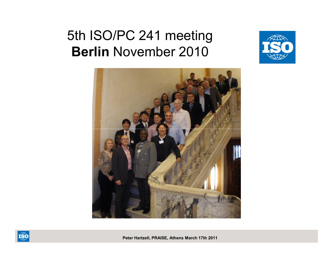# 5th ISO/PC 241 meeting**Berlin** November 2010





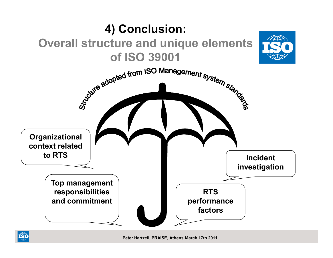

ISO<sub>WWW</sub>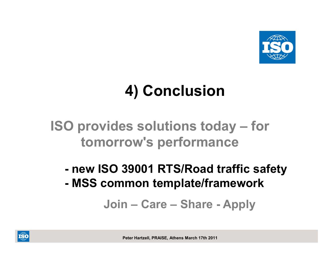

# **4) Conclusion**

## **ISO provides solutions today – for tomorrow's performance**

 **new ISO 39001 RTS/Road traffic safety - MSS common template/framework**

**Join – Care – Share - Apply**